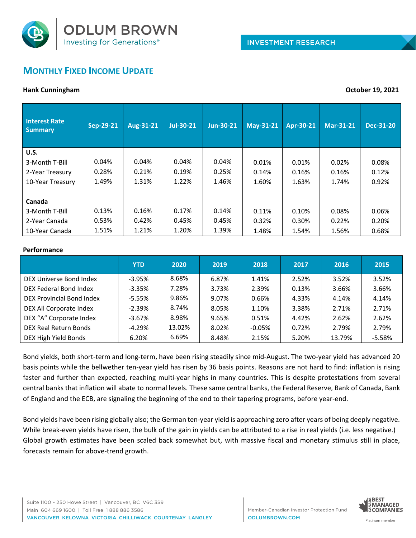

# **MONTHLY FIXED INCOME UPDATE**

### **Hank Cunningham October 19, 2021**

| <b>Interest Rate</b><br><b>Summary</b> | Sep-29-21 | Aug-31-21 | Jul-30-21 | Jun-30-21 | May-31-21 | Apr-30-21 | Mar-31-21 | Dec-31-20 |
|----------------------------------------|-----------|-----------|-----------|-----------|-----------|-----------|-----------|-----------|
| <b>U.S.</b>                            |           |           |           |           |           |           |           |           |
| 3-Month T-Bill                         | 0.04%     | 0.04%     | 0.04%     | 0.04%     | 0.01%     | 0.01%     | 0.02%     | 0.08%     |
| 2-Year Treasury                        | 0.28%     | 0.21%     | 0.19%     | 0.25%     | 0.14%     | 0.16%     | 0.16%     | 0.12%     |
| 10-Year Treasury                       | 1.49%     | 1.31%     | 1.22%     | 1.46%     | 1.60%     | 1.63%     | 1.74%     | 0.92%     |
|                                        |           |           |           |           |           |           |           |           |
| Canada                                 |           |           |           |           |           |           |           |           |
| 3-Month T-Bill                         | 0.13%     | 0.16%     | 0.17%     | 0.14%     | 0.11%     | 0.10%     | 0.08%     | 0.06%     |
| 2-Year Canada                          | 0.53%     | 0.42%     | 0.45%     | 0.45%     | 0.32%     | 0.30%     | 0.22%     | 0.20%     |
| 10-Year Canada                         | 1.51%     | 1.21%     | 1.20%     | 1.39%     | 1.48%     | 1.54%     | 1.56%     | 0.68%     |

#### **Performance**

|                           | <b>YTD</b> | 2020   | 2019  | 2018     | 2017  | 2016   | 2015     |
|---------------------------|------------|--------|-------|----------|-------|--------|----------|
| DEX Universe Bond Index   | $-3.95%$   | 8.68%  | 6.87% | 1.41%    | 2.52% | 3.52%  | 3.52%    |
| DEX Federal Bond Index    | $-3.35%$   | 7.28%  | 3.73% | 2.39%    | 0.13% | 3.66%  | 3.66%    |
| DEX Provincial Bond Index | $-5.55%$   | 9.86%  | 9.07% | 0.66%    | 4.33% | 4.14%  | 4.14%    |
| DEX All Corporate Index   | $-2.39%$   | 8.74%  | 8.05% | 1.10%    | 3.38% | 2.71%  | 2.71%    |
| DEX "A" Corporate Index   | $-3.67%$   | 8.98%  | 9.65% | 0.51%    | 4.42% | 2.62%  | 2.62%    |
| DEX Real Return Bonds     | $-4.29%$   | 13.02% | 8.02% | $-0.05%$ | 0.72% | 2.79%  | 2.79%    |
| DEX High Yield Bonds      | 6.20%      | 6.69%  | 8.48% | 2.15%    | 5.20% | 13.79% | $-5.58%$ |

Bond yields, both short-term and long-term, have been rising steadily since mid-August. The two-year yield has advanced 20 basis points while the bellwether ten-year yield has risen by 36 basis points. Reasons are not hard to find: inflation is rising faster and further than expected, reaching multi-year highs in many countries. This is despite protestations from several central banks that inflation will abate to normal levels. These same central banks, the Federal Reserve, Bank of Canada, Bank of England and the ECB, are signaling the beginning of the end to their tapering programs, before year-end.

Bond yields have been rising globally also; the German ten-year yield is approaching zero after years of being deeply negative. While break-even yields have risen, the bulk of the gain in yields can be attributed to a rise in real yields (i.e. less negative.) Global growth estimates have been scaled back somewhat but, with massive fiscal and monetary stimulus still in place, forecasts remain for above-trend growth.

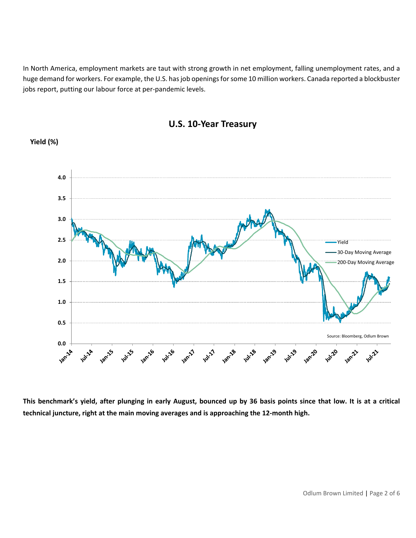In North America, employment markets are taut with strong growth in net employment, falling unemployment rates, and a huge demand for workers. For example, the U.S. has job openings for some 10 million workers. Canada reported a blockbuster jobs report, putting our labour force at per-pandemic levels.



# **U.S. 10-Year Treasury**

**Yield (%)**

**This benchmark's yield, after plunging in early August, bounced up by 36 basis points since that low. It is at a critical technical juncture, right at the main moving averages and is approaching the 12-month high.**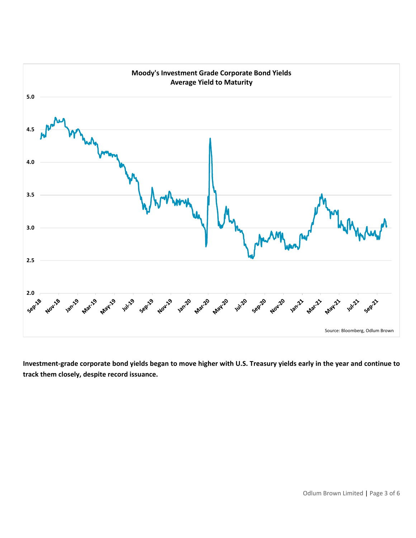

**Investment-grade corporate bond yields began to move higher with U.S. Treasury yields early in the year and continue to track them closely, despite record issuance.**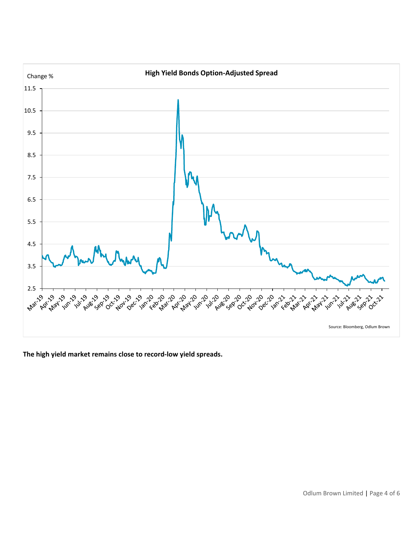

**The high yield market remains close to record-low yield spreads.**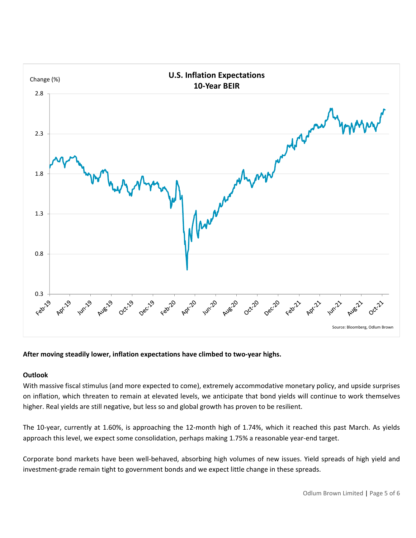

**After moving steadily lower, inflation expectations have climbed to two-year highs.**

### **Outlook**

With massive fiscal stimulus (and more expected to come), extremely accommodative monetary policy, and upside surprises on inflation, which threaten to remain at elevated levels, we anticipate that bond yields will continue to work themselves higher. Real yields are still negative, but less so and global growth has proven to be resilient.

The 10-year, currently at 1.60%, is approaching the 12-month high of 1.74%, which it reached this past March. As yields approach this level, we expect some consolidation, perhaps making 1.75% a reasonable year-end target.

Corporate bond markets have been well-behaved, absorbing high volumes of new issues. Yield spreads of high yield and investment-grade remain tight to government bonds and we expect little change in these spreads.